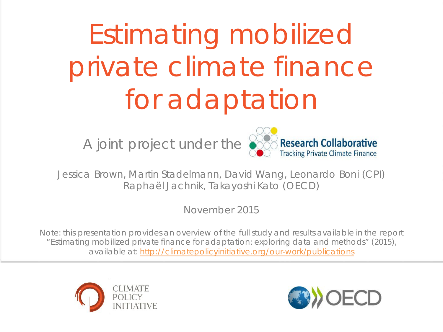# Estimating mobilized private climate finance for adaptation



Jessica Brown, Martin Stadelmann, David Wang, Leonardo Boni (CPI) Raphaël Jachnik, Takayoshi Kato (OECD)

November 2015

Note: this presentation provides an overview of the full study and results available in the report "Estimating mobilized private finance for adaptation: exploring data and methods" (2015), available at: http://climatepolicyinitiative.org/our-work/publications



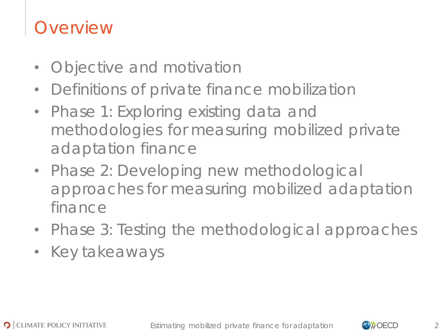### **Overview**

- Objective and motivation
- Definitions of private finance mobilization
- Phase 1: Exploring existing data and methodologies for measuring mobilized private adaptation finance
- Phase 2: Developing new methodological approaches for measuring mobilized adaptation finance
- Phase 3: Testing the methodological approaches
- Key takeaways

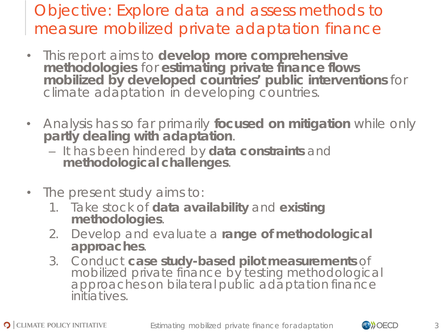### Objective: Explore data and assess methods to measure mobilized private adaptation finance

- This report aims to **develop more comprehensive**  mobilized by developed countries' public interventions for climate adaptation in developing countries.
- Analysis has so far primarily **focused on mitigation** while only **partly dealing with adaptation**.
	- It has been hindered by **data constraints** and **methodological challenges**.
- The present study aims to:
	- 1. Take stock of **data availability** and **existing methodologies**.
	- 2. Develop and evaluate a **range of methodological approaches**.
	- 3. Conduct **case study-based pilot measurements** of mobilized private finance by testing methodological approaches on bilateral public adaptation finance initiatives.

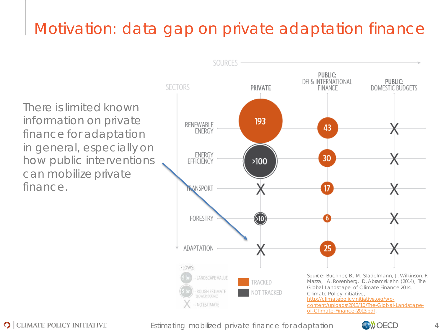### Motivation: data gap on private adaptation finance

There is limited known information on private finance for adaptation in general, especially on how public interventions can mobilize private finance.



**O** CLIMATE POLICY INITIATIVE

Estimating mobilized private finance for adaptation  $\langle \rangle$ 

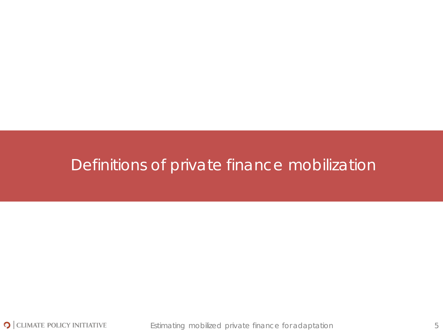### Definitions of private finance mobilization

Estimating mobilized private finance for adaptation 5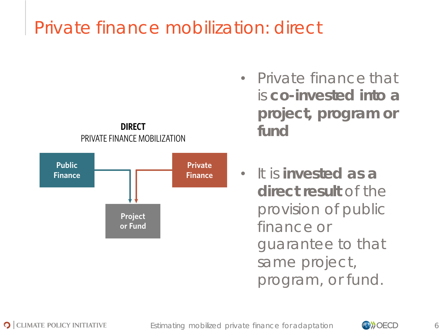# Private finance mobilization: *direct*



- Private finance that is **co-invested into a project, program or fund**
- It is **invested as a direct result** of the provision of public finance or guarantee to that same project, program, or fund.

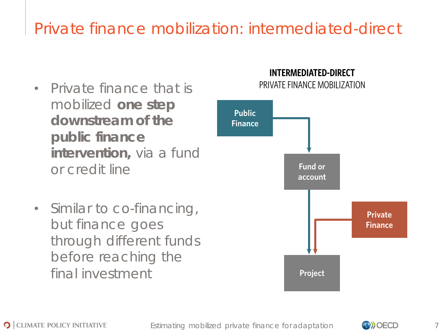### Private finance mobilization: *intermediated-direct*

- Private finance that is **PRIVATE FINANCE MOBILIZATION** mobilized **one step downstream of the public finance intervention,** via a fund or credit line
- Similar to co-financing, but finance goes through different funds before reaching the final investment

# **INTERMEDIATED-DIRECT**



**O** CLIMATE POLICY INITIATIVE

Estimating mobilized private finance for adaptation 7

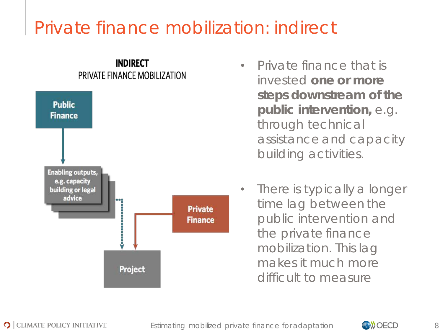# Private finance mobilization: *indirect*



- Private finance that is invested **one or more steps downstream of the public intervention,** e.g. through technical assistance and capacity building activities.
- There is typically a longer time lag between the public intervention and the private finance mobilization. This lag makes it much more difficult to measure

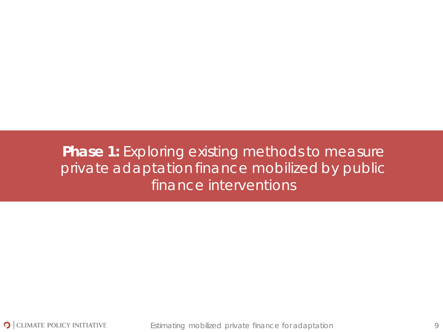### **Phase 1:** Exploring existing methods to measure private adaptation finance mobilized by public finance interventions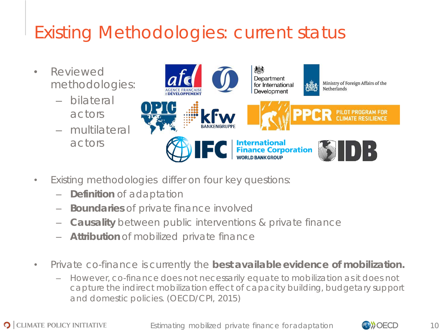# Existing Methodologies: current status

- Reviewed methodologies:
	- bilateral actors
	- multilateral actors



- Existing methodologies differ on four key questions:
	- **Definition** of adaptation
	- **Boundaries** of private finance involved
	- **Causality** between public interventions & private finance
	- **Attribution** of mobilized private finance
- Private co-finance is currently the **best available evidence of mobilization.**
	- However, co-finance does not necessarily equate to mobilization as it does not capture the indirect mobilization effect of capacity building, budgetary support and domestic policies. (OECD/CPI, 2015)

Estimating mobilized private finance for adaptation **CONCO** 10

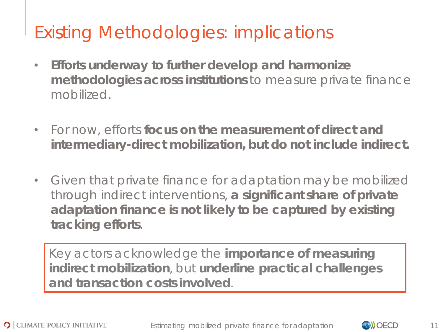# Existing Methodologies: implications

- **Efforts underway to further develop and harmonize methodologies across institutions** to measure private finance mobilized.
- For now, efforts **focus on the measurement of direct and intermediary-direct mobilization, but do not include indirect.**
- Given that private finance for adaptation may be mobilized through indirect interventions, **a significant share of private adaptation finance is not likely to be captured by existing tracking efforts**.

Key actors acknowledge the **importance of measuring indirect mobilization**, but **underline practical challenges and transaction costs involved**.

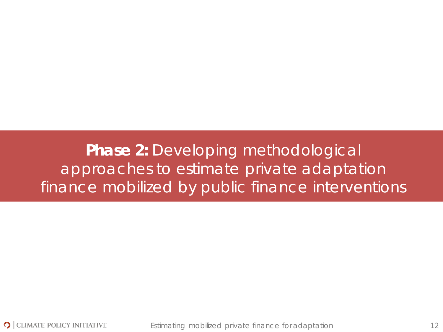**Phase 2:** Developing methodological approaches to estimate private adaptation finance mobilized by public finance interventions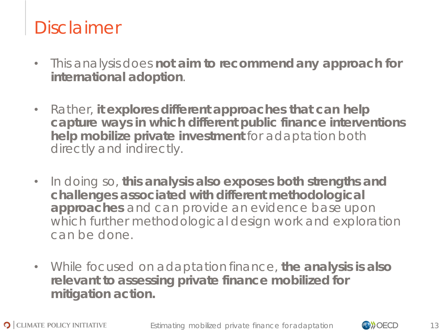# Disclaimer

- This analysis does **not aim to recommend any approach for international adoption**.
- Rather, **it explores different approaches that can help capture ways in which different public finance interventions help mobilize private investment** for adaptation both directly and indirectly.
- In doing so, **this analysis also exposes both strengths and challenges associated with different methodological approaches** and can provide an evidence base upon which further methodological design work and exploration can be done.
- While focused on adaptation finance, **the analysis is also relevant to assessing private finance mobilized for mitigation action.**



Estimating mobilized private finance for adaptation  $\Box$   $\Box$   $\Box$   $\Box$  13

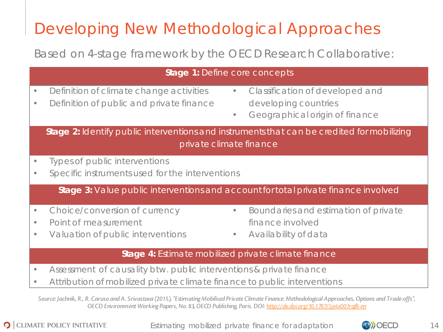## Developing New Methodological Approaches

### Based on 4-stage framework by the OECD Research Collaborative:

| Stage 1: Define core concepts                                                                                                                               |                                                                                                                                                                                                            |  |  |  |  |  |  |
|-------------------------------------------------------------------------------------------------------------------------------------------------------------|------------------------------------------------------------------------------------------------------------------------------------------------------------------------------------------------------------|--|--|--|--|--|--|
| $\bullet$<br>$\bullet$                                                                                                                                      | Definition of climate change activities<br>Classification of developed and<br>$\bullet$<br>Definition of public and private finance<br>developing countries<br>Geographical origin of finance<br>$\bullet$ |  |  |  |  |  |  |
| Stage 2: Identify public interventions and instruments that can be credited for mobilizing<br>private climate finance                                       |                                                                                                                                                                                                            |  |  |  |  |  |  |
| $\bullet$<br>$\bullet$                                                                                                                                      | Types of public interventions<br>Specific instruments used for the interventions                                                                                                                           |  |  |  |  |  |  |
| Stage 3: Value public interventions and account for total private finance involved                                                                          |                                                                                                                                                                                                            |  |  |  |  |  |  |
| $\bullet$<br>$\bullet$<br>$\bullet$                                                                                                                         | Choice/conversion of currency<br>Boundaries and estimation of private<br>$\bullet$<br>Point of measurement<br>finance involved<br>Valuation of public interventions<br>Availability of data<br>$\bullet$   |  |  |  |  |  |  |
| Stage 4: Estimate mobilized private climate finance                                                                                                         |                                                                                                                                                                                                            |  |  |  |  |  |  |
| $\bullet$<br>$\bullet$                                                                                                                                      | Assessment of causality btw. public interventions & private finance<br>Attribution of mobilized private climate finance to public interventions                                                            |  |  |  |  |  |  |
| Source: Jachnik, R., R. Caruso and A. Srivastava (2015), "Estimating Mobilised Private Climate Finance: Methodological Approaches, Options and Trade-offs", |                                                                                                                                                                                                            |  |  |  |  |  |  |

*OECD Environment Working Papers, No. 83, OECD Publishing, Paris. DOI: http://dx.doi.org/10.1787/5js4x001rqf8-en*

**O** CLIMATE POLICY INITIATIVE

Estimating mobilized private finance for adaptation **CONCO** 14

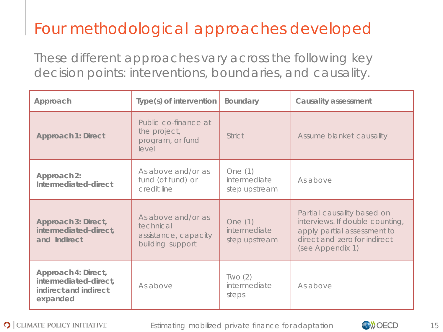### Four methodological approaches developed

These different approaches vary across the following key decision points: *interventions*, *boundaries*, and *causality*.

| Approach                                                                          | Type(s) of intervention                                                     | Boundary                                   | Causality assessment                                                                                                                             |  |
|-----------------------------------------------------------------------------------|-----------------------------------------------------------------------------|--------------------------------------------|--------------------------------------------------------------------------------------------------------------------------------------------------|--|
| Approach 1: Direct                                                                | Public co-finance at<br>the project,<br>program, or fund<br>level           | <b>Strict</b>                              | Assume blanket causality                                                                                                                         |  |
| Approach 2:<br>Intermediated-direct                                               | As above and/or as<br>fund (of fund) or<br>credit line                      | One $(1)$<br>intermediate<br>step upstream | As above                                                                                                                                         |  |
| Approach 3: Direct,<br>intermediated-direct,<br>and Indirect                      | As above and/or as<br>technical<br>assistance, capacity<br>building support | One (1)<br>intermediate<br>step upstream   | Partial causality based on<br>interviews. If double counting,<br>apply partial assessment to<br>direct and zero for indirect<br>(see Appendix 1) |  |
| Approach 4: Direct,<br>intermediated-direct,<br>indirect and indirect<br>expanded | As above                                                                    | TWO(2)<br>intermediate<br>steps            | As above                                                                                                                                         |  |



Estimating mobilized private finance for adaptation **CONCO** 15

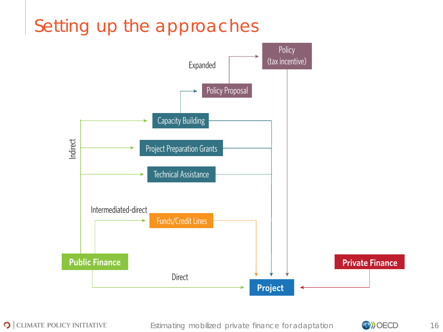#### Setting up the approaches Examples of Direct, Intermediated-direct , and Indirect ing up th



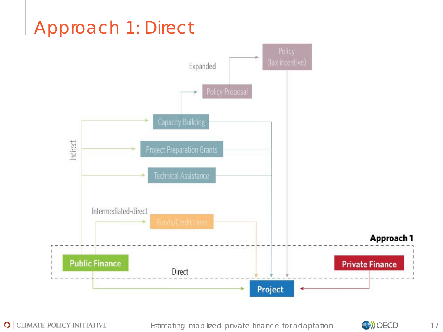# Approach 1: Direct



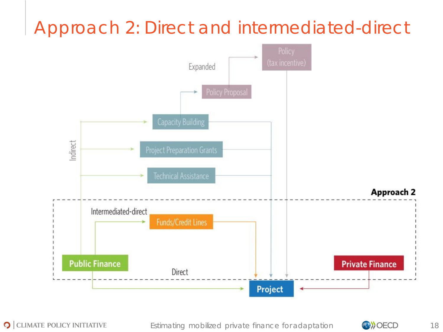# Approach 2: Direct and intermediated-direct



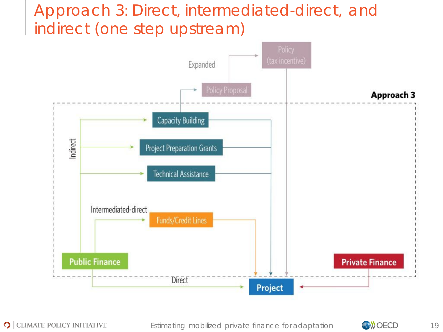### Approach 3: Direct, intermediated-direct, and indirect (one step upstream)



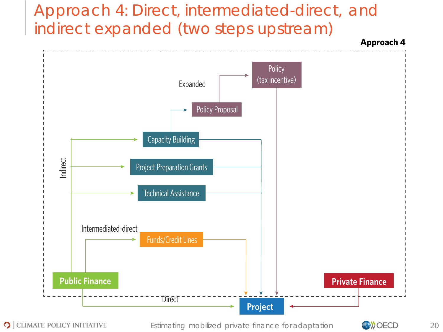### Approach 4: Direct, intermediated-direct, and indirect expanded (two steps upstream)



O CLIMATE POLICY INITIATIVE

Estimating mobilized private finance for adaptation **CONOCO** 20

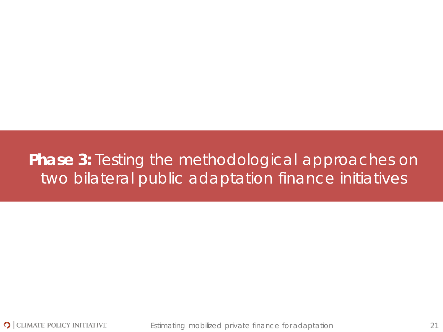### **Phase 3:** Testing the methodological approaches on two bilateral public adaptation finance initiatives



Estimating mobilized private finance for adaptation 21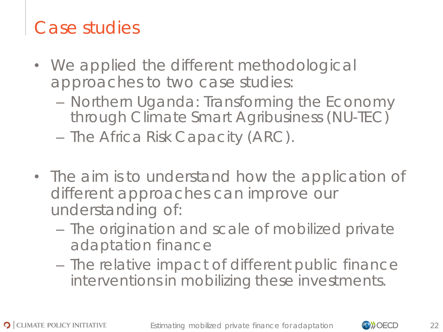# Case studies

- We applied the different methodological approaches to two case studies:
	- Northern Uganda: Transforming the Economy through Climate Smart Agribusiness (NU-TEC)
	- The Africa Risk Capacity (ARC).
- The aim is to understand how the application of different approaches can improve our understanding of:
	- The origination and scale of mobilized private adaptation finance
	- The relative impact of different public finance interventions in mobilizing these investments.

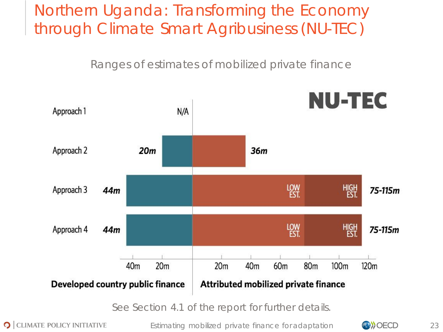### Northern Uganda: Transforming the Economy through Climate Smart Agribusiness (NU-TEC)

Ranges of estimates of mobilized private finance



**O** CLIMATE POLICY INITIATIVE

Estimating mobilized private finance for adaptation **CONOCO** 23

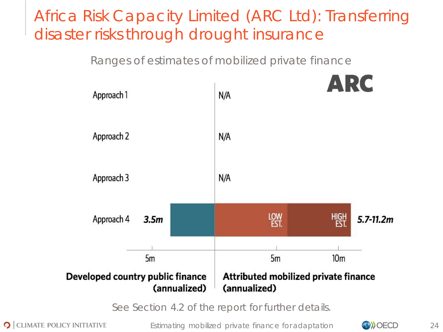### Africa Risk Capacity Limited (ARC Ltd): Transferring disaster risks through drought insurance

Ranges of estimates of mobilized private finance



See Section 4.2 of the report for further details.

**O** CLIMATE POLICY INITIATIVE

Estimating mobilized private finance for adaptation **CONOCO** 24

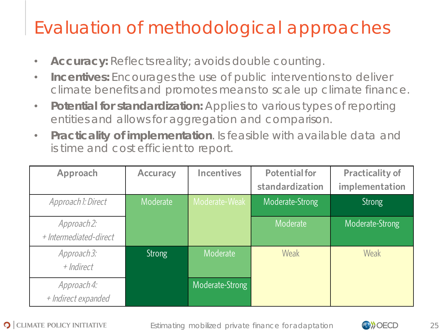# Evaluation of methodological approaches

- **Accuracy:** Reflects reality; avoids double counting.
- **Incentives:** Encourages the use of public interventions to deliver climate benefits and promotes means to scale up climate finance.
- **Potential for standardization:** Applies to various types of reporting entities and allows for aggregation and comparison.
- **Practicality of implementation**. Is feasible with available data and is time and cost efficient to report.

| Approach                              | <b>Accuracy</b> | <b>Incentives</b> | <b>Potential for</b><br>standardization | <b>Practicality of</b><br>implementation |
|---------------------------------------|-----------------|-------------------|-----------------------------------------|------------------------------------------|
| Approach 1: Direct                    | Moderate        | Moderate-Weak     | Moderate-Strong                         | <b>Strong</b>                            |
| Approach 2:<br>+ Intermediated-direct |                 |                   | Moderate                                | Moderate-Strong                          |
| Approach 3:<br>+ Indirect             | <b>Strong</b>   | Moderate          | Weak                                    | <b>Weak</b>                              |
| Approach4:<br>+ Indirect expanded     |                 | Moderate-Strong   |                                         |                                          |

Estimating mobilized private finance for adaptation **CONCO** 25

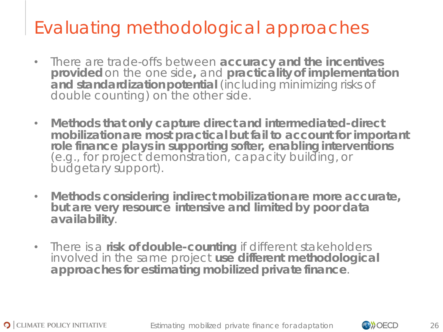# Evaluating methodological approaches

- There are trade-offs between **accuracy and the incentives provided** on the one side**,** and **practicality of implementation and standardization potential** (including minimizing risks of double counting) on the other side.
- **Methods that only capture direct and intermediated-direct mobilization are most practical but fail to account for important role finance plays in supporting softer, enabling interventions**  (e.g., for project demonstration, capacity building, or budgetary support).
- **Methods considering indirect mobilization are more accurate, but are very resource intensive and limited by poor data availability**.
- There is a **risk of double-counting** if different stakeholders involved in the same project **use different methodological approaches for estimating mobilized private finance**.

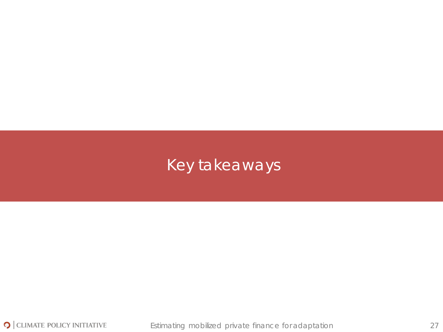### Key takeaways

Estimating mobilized private finance for adaptation 27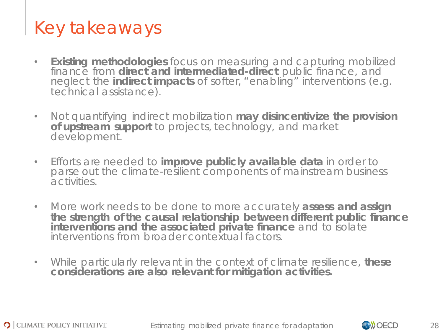# Key takeaways

- **Existing methodologies** focus on measuring and capturing mobilized finance from **direct and intermediated-direct** public finance, and neglect the **indirect impacts** of softer, "enabling" interventions (e.g. technical assistance).
- Not quantifying indirect mobilization **may disincentivize the provision of upstream support** to projects, technology, and market development.
- Efforts are needed to **improve publicly available data** in order to parse out the climate-resilient components of mainstream business activities.
- More work needs to be done to more accurately **assess and assign the strength of the causal relationship between different public finance interventions and the associated private finance** and to isolate interventions from broader contextual factors.
- While particularly relevant in the context of climate resilience, **these considerations are also relevant for mitigation activities.**